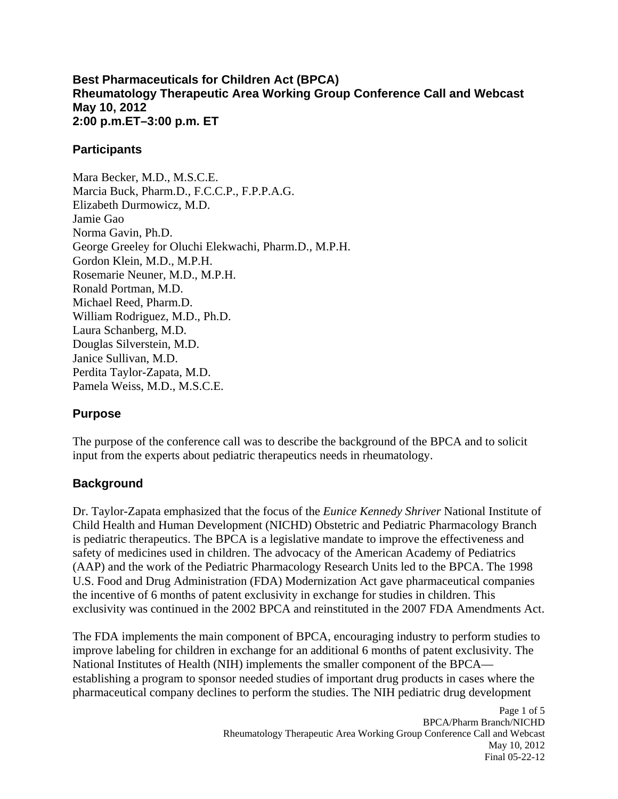#### **Best Pharmaceuticals for Children Act (BPCA) Rheumatology Therapeutic Area Working Group Conference Call and Webcast May 10, 2012 2:00 p.m.ET–3:00 p.m. ET**

#### **Participants**

Mara Becker, M.D., M.S.C.E. Marcia Buck, Pharm.D., F.C.C.P., F.P.P.A.G. Elizabeth Durmowicz, M.D. Jamie Gao Norma Gavin, Ph.D. George Greeley for Oluchi Elekwachi, Pharm.D., M.P.H. Gordon Klein, M.D., M.P.H. Rosemarie Neuner, M.D., M.P.H. Ronald Portman, M.D. Michael Reed, Pharm.D. William Rodriguez, M.D., Ph.D. Laura Schanberg, M.D. Douglas Silverstein, M.D. Janice Sullivan, M.D. Perdita Taylor-Zapata, M.D. Pamela Weiss, M.D., M.S.C.E.

## **Purpose**

The purpose of the conference call was to describe the background of the BPCA and to solicit input from the experts about pediatric therapeutics needs in rheumatology.

## **Background**

Dr. Taylor-Zapata emphasized that the focus of the *Eunice Kennedy Shriver* National Institute of Child Health and Human Development (NICHD) Obstetric and Pediatric Pharmacology Branch is pediatric therapeutics. The BPCA is a legislative mandate to improve the effectiveness and safety of medicines used in children. The advocacy of the American Academy of Pediatrics (AAP) and the work of the Pediatric Pharmacology Research Units led to the BPCA. The 1998 U.S. Food and Drug Administration (FDA) Modernization Act gave pharmaceutical companies the incentive of 6 months of patent exclusivity in exchange for studies in children. This exclusivity was continued in the 2002 BPCA and reinstituted in the 2007 FDA Amendments Act.

The FDA implements the main component of BPCA, encouraging industry to perform studies to improve labeling for children in exchange for an additional 6 months of patent exclusivity. The National Institutes of Health (NIH) implements the smaller component of the BPCA establishing a program to sponsor needed studies of important drug products in cases where the pharmaceutical company declines to perform the studies. The NIH pediatric drug development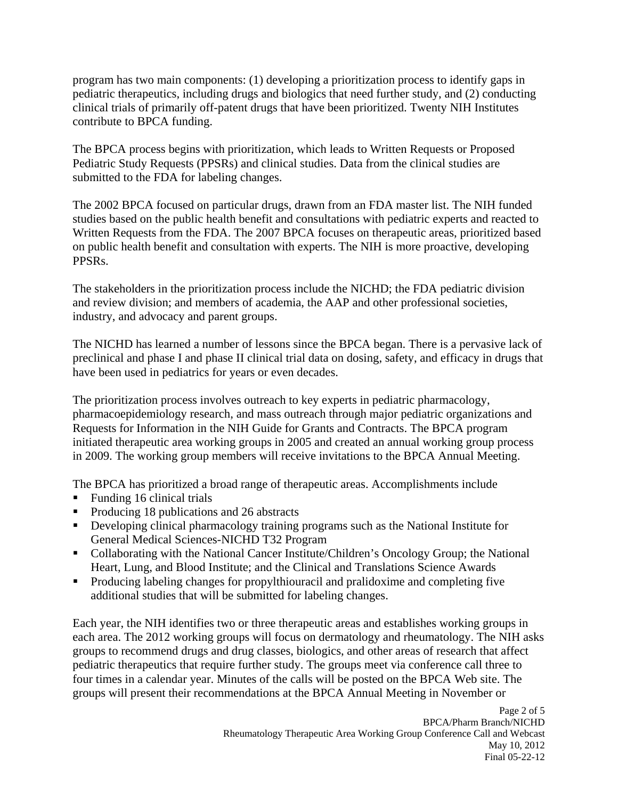program has two main components: (1) developing a prioritization process to identify gaps in pediatric therapeutics, including drugs and biologics that need further study, and (2) conducting clinical trials of primarily off-patent drugs that have been prioritized. Twenty NIH Institutes contribute to BPCA funding.

The BPCA process begins with prioritization, which leads to Written Requests or Proposed Pediatric Study Requests (PPSRs) and clinical studies. Data from the clinical studies are submitted to the FDA for labeling changes.

The 2002 BPCA focused on particular drugs, drawn from an FDA master list. The NIH funded studies based on the public health benefit and consultations with pediatric experts and reacted to Written Requests from the FDA. The 2007 BPCA focuses on therapeutic areas, prioritized based on public health benefit and consultation with experts. The NIH is more proactive, developing PPSRs.

The stakeholders in the prioritization process include the NICHD; the FDA pediatric division and review division; and members of academia, the AAP and other professional societies, industry, and advocacy and parent groups.

The NICHD has learned a number of lessons since the BPCA began. There is a pervasive lack of preclinical and phase I and phase II clinical trial data on dosing, safety, and efficacy in drugs that have been used in pediatrics for years or even decades.

The prioritization process involves outreach to key experts in pediatric pharmacology, pharmacoepidemiology research, and mass outreach through major pediatric organizations and Requests for Information in the NIH Guide for Grants and Contracts. The BPCA program initiated therapeutic area working groups in 2005 and created an annual working group process in 2009. The working group members will receive invitations to the BPCA Annual Meeting.

The BPCA has prioritized a broad range of therapeutic areas. Accomplishments include

- Funding 16 clinical trials
- Producing 18 publications and 26 abstracts
- **Developing clinical pharmacology training programs such as the National Institute for** General Medical Sciences-NICHD T32 Program
- Collaborating with the National Cancer Institute/Children's Oncology Group; the National Heart, Lung, and Blood Institute; and the Clinical and Translations Science Awards
- Producing labeling changes for propylthiouracil and pralidoxime and completing five additional studies that will be submitted for labeling changes.

Each year, the NIH identifies two or three therapeutic areas and establishes working groups in each area. The 2012 working groups will focus on dermatology and rheumatology. The NIH asks groups to recommend drugs and drug classes, biologics, and other areas of research that affect pediatric therapeutics that require further study. The groups meet via conference call three to four times in a calendar year. Minutes of the calls will be posted on the BPCA Web site. The groups will present their recommendations at the BPCA Annual Meeting in November or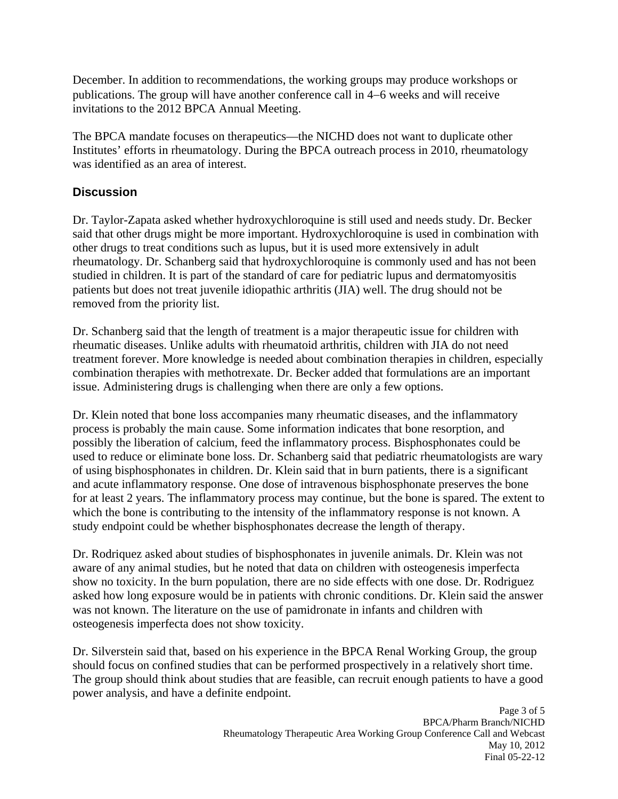December. In addition to recommendations, the working groups may produce workshops or publications. The group will have another conference call in 4–6 weeks and will receive invitations to the 2012 BPCA Annual Meeting.

 was identified as an area of interest. The BPCA mandate focuses on therapeutics—the NICHD does not want to duplicate other Institutes' efforts in rheumatology. During the BPCA outreach process in 2010, rheumatology

# **Discussion**

Dr. Taylor-Zapata asked whether hydroxychloroquine is still used and needs study. Dr. Becker said that other drugs might be more important. Hydroxychloroquine is used in combination with other drugs to treat conditions such as lupus, but it is used more extensively in adult rheumatology. Dr. Schanberg said that hydroxychloroquine is commonly used and has not been studied in children. It is part of the standard of care for pediatric lupus and dermatomyositis patients but does not treat juvenile idiopathic arthritis (JIA) well. The drug should not be removed from the priority list.

Dr. Schanberg said that the length of treatment is a major therapeutic issue for children with rheumatic diseases. Unlike adults with rheumatoid arthritis, children with JIA do not need treatment forever. More knowledge is needed about combination therapies in children, especially combination therapies with methotrexate. Dr. Becker added that formulations are an important issue. Administering drugs is challenging when there are only a few options.

Dr. Klein noted that bone loss accompanies many rheumatic diseases, and the inflammatory process is probably the main cause. Some information indicates that bone resorption, and possibly the liberation of calcium, feed the inflammatory process. Bisphosphonates could be used to reduce or eliminate bone loss. Dr. Schanberg said that pediatric rheumatologists are wary of using bisphosphonates in children. Dr. Klein said that in burn patients, there is a significant and acute inflammatory response. One dose of intravenous bisphosphonate preserves the bone for at least 2 years. The inflammatory process may continue, but the bone is spared. The extent to which the bone is contributing to the intensity of the inflammatory response is not known. A study endpoint could be whether bisphosphonates decrease the length of therapy.

Dr. Rodriquez asked about studies of bisphosphonates in juvenile animals. Dr. Klein was not aware of any animal studies, but he noted that data on children with osteogenesis imperfecta show no toxicity. In the burn population, there are no side effects with one dose. Dr. Rodriguez asked how long exposure would be in patients with chronic conditions. Dr. Klein said the answer was not known. The literature on the use of pamidronate in infants and children with osteogenesis imperfecta does not show toxicity.

Dr. Silverstein said that, based on his experience in the BPCA Renal Working Group, the group should focus on confined studies that can be performed prospectively in a relatively short time. The group should think about studies that are feasible, can recruit enough patients to have a good power analysis, and have a definite endpoint.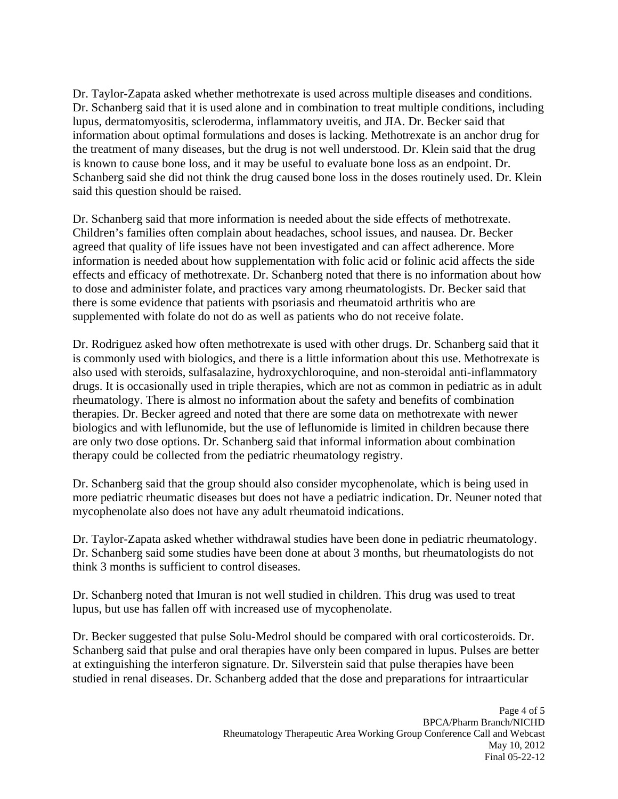Dr. Taylor-Zapata asked whether methotrexate is used across multiple diseases and conditions. Dr. Schanberg said that it is used alone and in combination to treat multiple conditions, including lupus, dermatomyositis, scleroderma, inflammatory uveitis, and JIA. Dr. Becker said that information about optimal formulations and doses is lacking. Methotrexate is an anchor drug for the treatment of many diseases, but the drug is not well understood. Dr. Klein said that the drug is known to cause bone loss, and it may be useful to evaluate bone loss as an endpoint. Dr. Schanberg said she did not think the drug caused bone loss in the doses routinely used. Dr. Klein said this question should be raised.

Dr. Schanberg said that more information is needed about the side effects of methotrexate. Children's families often complain about headaches, school issues, and nausea. Dr. Becker agreed that quality of life issues have not been investigated and can affect adherence. More information is needed about how supplementation with folic acid or folinic acid affects the side effects and efficacy of methotrexate. Dr. Schanberg noted that there is no information about how to dose and administer folate, and practices vary among rheumatologists. Dr. Becker said that there is some evidence that patients with psoriasis and rheumatoid arthritis who are supplemented with folate do not do as well as patients who do not receive folate.

Dr. Rodriguez asked how often methotrexate is used with other drugs. Dr. Schanberg said that it is commonly used with biologics, and there is a little information about this use. Methotrexate is also used with steroids, sulfasalazine, hydroxychloroquine, and non-steroidal anti-inflammatory drugs. It is occasionally used in triple therapies, which are not as common in pediatric as in adult rheumatology. There is almost no information about the safety and benefits of combination therapies. Dr. Becker agreed and noted that there are some data on methotrexate with newer biologics and with leflunomide, but the use of leflunomide is limited in children because there are only two dose options. Dr. Schanberg said that informal information about combination therapy could be collected from the pediatric rheumatology registry.

Dr. Schanberg said that the group should also consider mycophenolate, which is being used in more pediatric rheumatic diseases but does not have a pediatric indication. Dr. Neuner noted that mycophenolate also does not have any adult rheumatoid indications.

Dr. Taylor-Zapata asked whether withdrawal studies have been done in pediatric rheumatology. Dr. Schanberg said some studies have been done at about 3 months, but rheumatologists do not think 3 months is sufficient to control diseases.

Dr. Schanberg noted that Imuran is not well studied in children. This drug was used to treat lupus, but use has fallen off with increased use of mycophenolate.

Dr. Becker suggested that pulse Solu-Medrol should be compared with oral corticosteroids. Dr. Schanberg said that pulse and oral therapies have only been compared in lupus. Pulses are better at extinguishing the interferon signature. Dr. Silverstein said that pulse therapies have been studied in renal diseases. Dr. Schanberg added that the dose and preparations for intraarticular